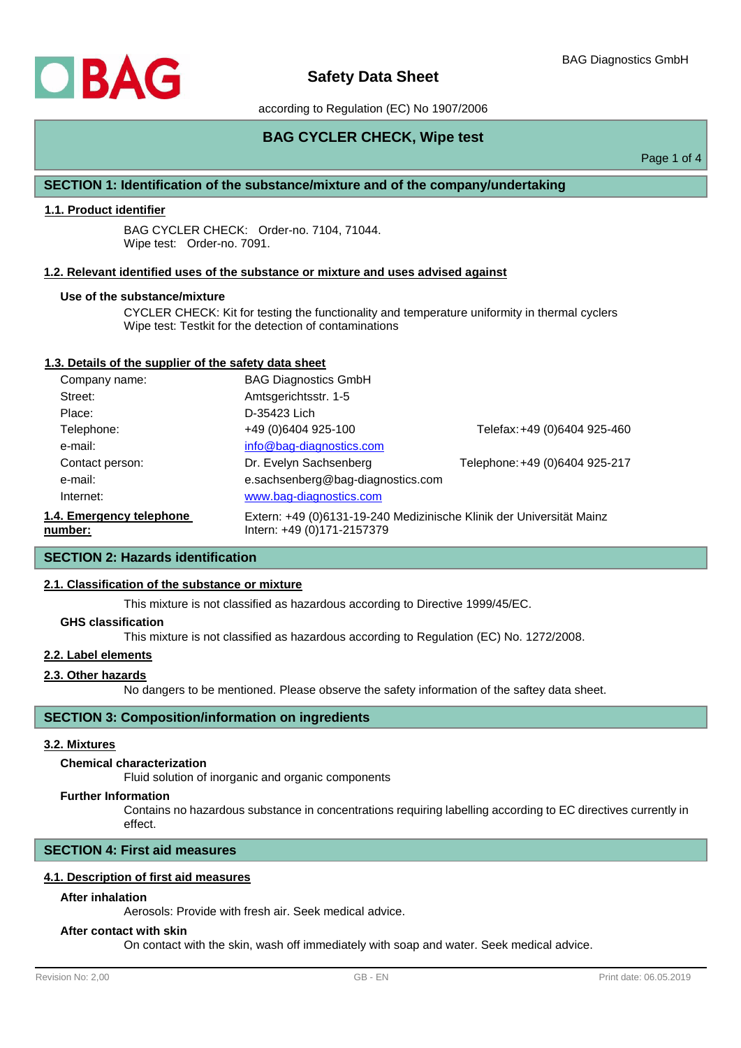according to Regulation (EC) No 1907/2006

# **BAG CYCLER CHECK, Wipe test**

Page 1 of 4

## **SECTION 1: Identification of the substance/mixture and of the company/undertaking**

## **1.1. Product identifier**

BAG CYCLER CHECK: Order-no. 7104, 71044. Wipe test: Order-no. 7091.

#### **1.2. Relevant identified uses of the substance or mixture and uses advised against**

#### **Use of the substance/mixture**

CYCLER CHECK: Kit for testing the functionality and temperature uniformity in thermal cyclers Wipe test: Testkit for the detection of contaminations

## **1.3. Details of the supplier of the safety data sheet**

| Company name:                       | <b>BAG Diagnostics GmbH</b>                                                                        |                                |
|-------------------------------------|----------------------------------------------------------------------------------------------------|--------------------------------|
| Street:                             | Amtsgerichtsstr. 1-5                                                                               |                                |
| Place:                              | D-35423 Lich                                                                                       |                                |
| Telephone:                          | +49 (0)6404 925-100                                                                                | Telefax: +49 (0)6404 925-460   |
| e-mail:                             | info@bag-diagnostics.com                                                                           |                                |
| Contact person:                     | Dr. Evelyn Sachsenberg                                                                             | Telephone: +49 (0)6404 925-217 |
| e-mail:                             | e.sachsenberg@bag-diagnostics.com                                                                  |                                |
| Internet:                           | www.bag-diagnostics.com                                                                            |                                |
| 1.4. Emergency telephone<br>number: | Extern: +49 (0)6131-19-240 Medizinische Klinik der Universität Mainz<br>Intern: +49 (0)171-2157379 |                                |

## **SECTION 2: Hazards identification**

## **2.1. Classification of the substance or mixture**

This mixture is not classified as hazardous according to Directive 1999/45/EC.

#### **GHS classification**

This mixture is not classified as hazardous according to Regulation (EC) No. 1272/2008.

### **2.2. Label elements**

## **2.3. Other hazards**

No dangers to be mentioned. Please observe the safety information of the saftey data sheet.

## **SECTION 3: Composition/information on ingredients**

## **3.2. Mixtures**

## **Chemical characterization**

Fluid solution of inorganic and organic components

#### **Further Information**

Contains no hazardous substance in concentrations requiring labelling according to EC directives currently in effect.

## **SECTION 4: First aid measures**

## **4.1. Description of first aid measures**

#### **After inhalation**

Aerosols: Provide with fresh air. Seek medical advice.

### **After contact with skin**

On contact with the skin, wash off immediately with soap and water. Seek medical advice.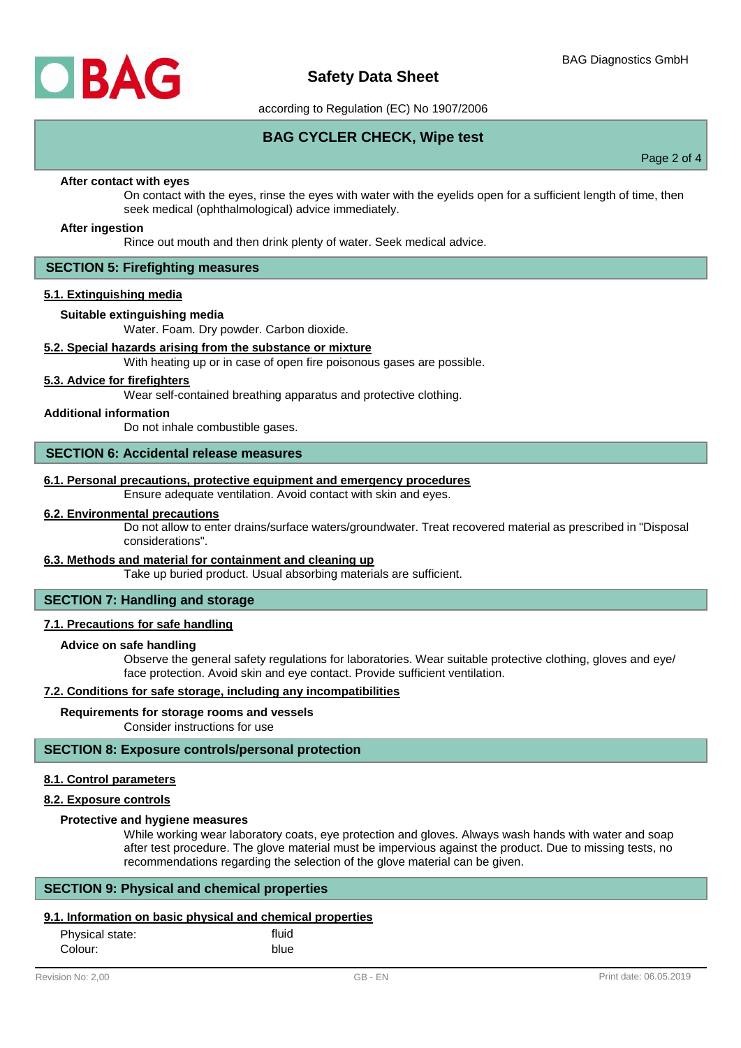

according to Regulation (EC) No 1907/2006

**BAG CYCLER CHECK, Wipe test**

Page 2 of 4

#### **After contact with eyes**

On contact with the eyes, rinse the eyes with water with the eyelids open for a sufficient length of time, then seek medical (ophthalmological) advice immediately.

#### **After ingestion**

Rince out mouth and then drink plenty of water. Seek medical advice.

## **SECTION 5: Firefighting measures**

### **5.1. Extinguishing media**

#### **Suitable extinguishing media**

Water. Foam. Dry powder. Carbon dioxide.

### **5.2. Special hazards arising from the substance or mixture**

With heating up or in case of open fire poisonous gases are possible.

## **5.3. Advice for firefighters**

Wear self-contained breathing apparatus and protective clothing.

#### **Additional information**

Do not inhale combustible gases.

#### **SECTION 6: Accidental release measures**

#### **6.1. Personal precautions, protective equipment and emergency procedures**

Ensure adequate ventilation. Avoid contact with skin and eyes.

### **6.2. Environmental precautions**

Do not allow to enter drains/surface waters/groundwater. Treat recovered material as prescribed in "Disposal considerations".

#### **6.3. Methods and material for containment and cleaning up**

Take up buried product. Usual absorbing materials are sufficient.

#### **SECTION 7: Handling and storage**

#### **7.1. Precautions for safe handling**

#### **Advice on safe handling**

Observe the general safety regulations for laboratories. Wear suitable protective clothing, gloves and eye/ face protection. Avoid skin and eye contact. Provide sufficient ventilation.

#### **7.2. Conditions for safe storage, including any incompatibilities**

#### **Requirements for storage rooms and vessels**

Consider instructions for use

### **SECTION 8: Exposure controls/personal protection**

#### **8.1. Control parameters**

#### **8.2. Exposure controls**

### **Protective and hygiene measures**

While working wear laboratory coats, eye protection and gloves. Always wash hands with water and soap after test procedure. The glove material must be impervious against the product. Due to missing tests, no recommendations regarding the selection of the glove material can be given.

#### **SECTION 9: Physical and chemical properties**

## **9.1. Information on basic physical and chemical properties**

| Physical state: | fluid |
|-----------------|-------|
| Colour:         | blue  |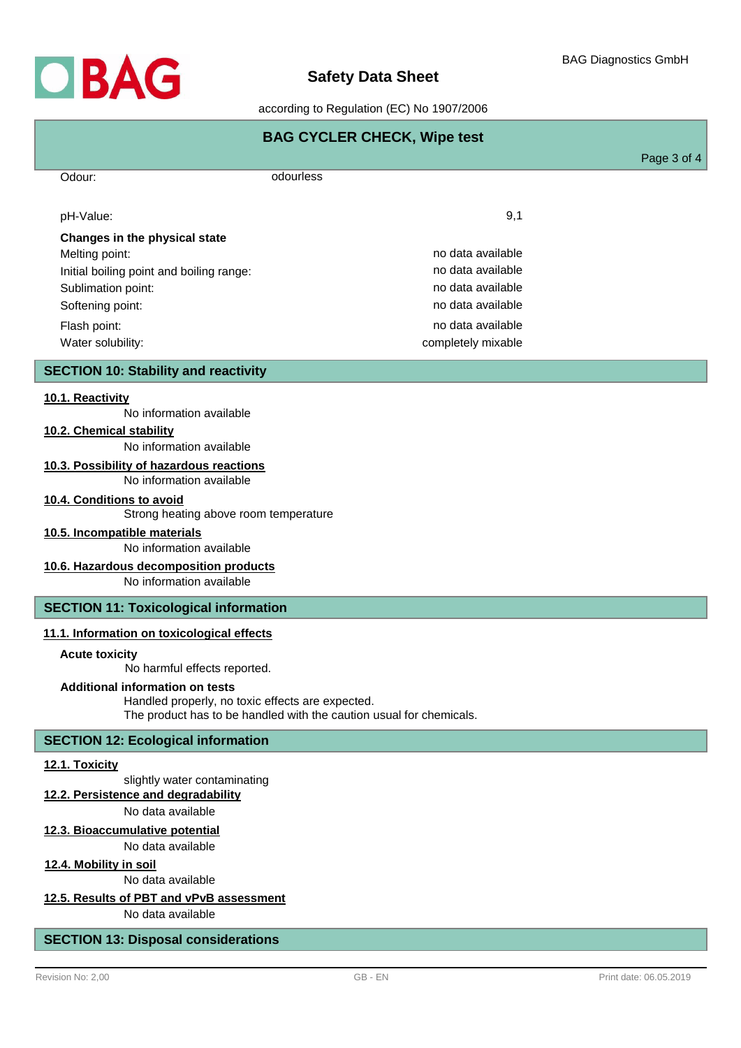

### according to Regulation (EC) No 1907/2006

| <b>BAG CYCLER CHECK, Wipe test</b>          |                    |             |  |
|---------------------------------------------|--------------------|-------------|--|
|                                             |                    | Page 3 of 4 |  |
| Odour:                                      | odourless          |             |  |
| pH-Value:                                   | 9,1                |             |  |
| Changes in the physical state               |                    |             |  |
| Melting point:                              | no data available  |             |  |
| Initial boiling point and boiling range:    | no data available  |             |  |
| Sublimation point:                          | no data available  |             |  |
| Softening point:                            | no data available  |             |  |
| Flash point:                                | no data available  |             |  |
| Water solubility:                           | completely mixable |             |  |
| <b>SECTION 10: Stability and reactivity</b> |                    |             |  |
| 10.1. Reactivity                            |                    |             |  |

No information available

**10.2. Chemical stability**

No information available

## **10.3. Possibility of hazardous reactions**

No information available

#### **10.4. Conditions to avoid**

Strong heating above room temperature

### **10.5. Incompatible materials**

No information available

## **10.6. Hazardous decomposition products**

No information available

## **SECTION 11: Toxicological information**

### **11.1. Information on toxicological effects**

### **Acute toxicity**

No harmful effects reported.

## **Additional information on tests**

Handled properly, no toxic effects are expected. The product has to be handled with the caution usual for chemicals.

### **SECTION 12: Ecological information**

#### **12.1. Toxicity**

slightly water contaminating

#### **12.2. Persistence and degradability**

No data available

## **12.3. Bioaccumulative potential**

No data available

## **12.4. Mobility in soil**

No data available

## **12.5. Results of PBT and vPvB assessment**

No data available

## **SECTION 13: Disposal considerations**